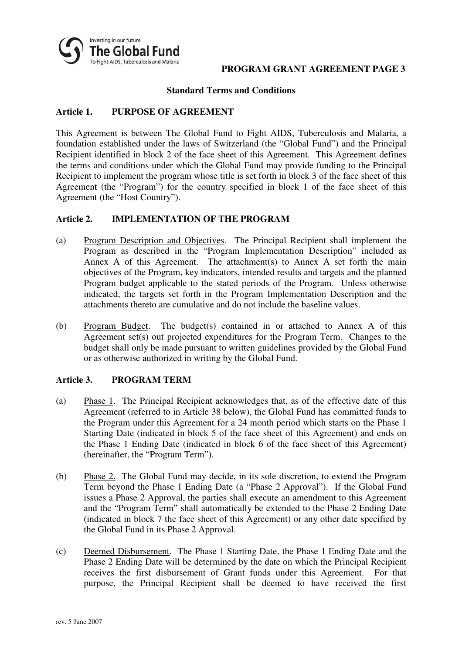

#### **Standard Terms and Conditions**

# **Article 1. PURPOSE OF AGREEMENT**

This Agreement is between The Global Fund to Fight AIDS, Tuberculosis and Malaria, a foundation established under the laws of Switzerland (the "Global Fund") and the Principal Recipient identified in block 2 of the face sheet of this Agreement. This Agreement defines the terms and conditions under which the Global Fund may provide funding to the Principal Recipient to implement the program whose title is set forth in block 3 of the face sheet of this Agreement (the "Program") for the country specified in block 1 of the face sheet of this Agreement (the "Host Country").

### **Article 2. IMPLEMENTATION OF THE PROGRAM**

- (a) Program Description and Objectives. The Principal Recipient shall implement the Program as described in the "Program Implementation Description" included as Annex A of this Agreement. The attachment(s) to Annex A set forth the main objectives of the Program, key indicators, intended results and targets and the planned Program budget applicable to the stated periods of the Program. Unless otherwise indicated, the targets set forth in the Program Implementation Description and the attachments thereto are cumulative and do not include the baseline values.
- (b) Program Budget. The budget(s) contained in or attached to Annex A of this Agreement set(s) out projected expenditures for the Program Term. Changes to the budget shall only be made pursuant to written guidelines provided by the Global Fund or as otherwise authorized in writing by the Global Fund.

#### **Article 3. PROGRAM TERM**

- (a) Phase 1. The Principal Recipient acknowledges that, as of the effective date of this Agreement (referred to in Article 38 below), the Global Fund has committed funds to the Program under this Agreement for a 24 month period which starts on the Phase 1 Starting Date (indicated in block 5 of the face sheet of this Agreement) and ends on the Phase 1 Ending Date (indicated in block 6 of the face sheet of this Agreement) (hereinafter, the "Program Term").
- (b) Phase 2. The Global Fund may decide, in its sole discretion, to extend the Program Term beyond the Phase 1 Ending Date (a "Phase 2 Approval"). If the Global Fund issues a Phase 2 Approval, the parties shall execute an amendment to this Agreement and the "Program Term" shall automatically be extended to the Phase 2 Ending Date (indicated in block 7 the face sheet of this Agreement) or any other date specified by the Global Fund in its Phase 2 Approval.
- (c) Deemed Disbursement. The Phase 1 Starting Date, the Phase 1 Ending Date and the Phase 2 Ending Date will be determined by the date on which the Principal Recipient receives the first disbursement of Grant funds under this Agreement. For that purpose, the Principal Recipient shall be deemed to have received the first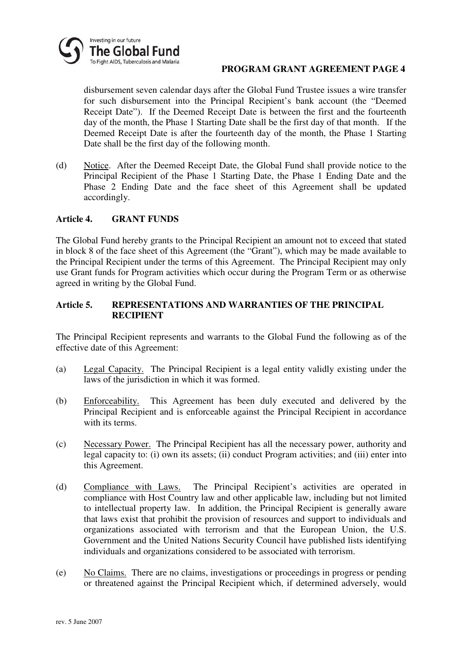

disbursement seven calendar days after the Global Fund Trustee issues a wire transfer for such disbursement into the Principal Recipient's bank account (the "Deemed Receipt Date"). If the Deemed Receipt Date is between the first and the fourteenth day of the month, the Phase 1 Starting Date shall be the first day of that month. If the Deemed Receipt Date is after the fourteenth day of the month, the Phase 1 Starting Date shall be the first day of the following month.

(d) Notice. After the Deemed Receipt Date, the Global Fund shall provide notice to the Principal Recipient of the Phase 1 Starting Date, the Phase 1 Ending Date and the Phase 2 Ending Date and the face sheet of this Agreement shall be updated accordingly.

#### **Article 4. GRANT FUNDS**

The Global Fund hereby grants to the Principal Recipient an amount not to exceed that stated in block 8 of the face sheet of this Agreement (the "Grant"), which may be made available to the Principal Recipient under the terms of this Agreement. The Principal Recipient may only use Grant funds for Program activities which occur during the Program Term or as otherwise agreed in writing by the Global Fund.

### **Article 5. REPRESENTATIONS AND WARRANTIES OF THE PRINCIPAL RECIPIENT**

The Principal Recipient represents and warrants to the Global Fund the following as of the effective date of this Agreement:

- (a) Legal Capacity. The Principal Recipient is a legal entity validly existing under the laws of the jurisdiction in which it was formed.
- (b) Enforceability. This Agreement has been duly executed and delivered by the Principal Recipient and is enforceable against the Principal Recipient in accordance with its terms.
- (c) Necessary Power. The Principal Recipient has all the necessary power, authority and legal capacity to: (i) own its assets; (ii) conduct Program activities; and (iii) enter into this Agreement.
- (d) Compliance with Laws. The Principal Recipient's activities are operated in compliance with Host Country law and other applicable law, including but not limited to intellectual property law. In addition, the Principal Recipient is generally aware that laws exist that prohibit the provision of resources and support to individuals and organizations associated with terrorism and that the European Union, the U.S. Government and the United Nations Security Council have published lists identifying individuals and organizations considered to be associated with terrorism.
- (e) No Claims. There are no claims, investigations or proceedings in progress or pending or threatened against the Principal Recipient which, if determined adversely, would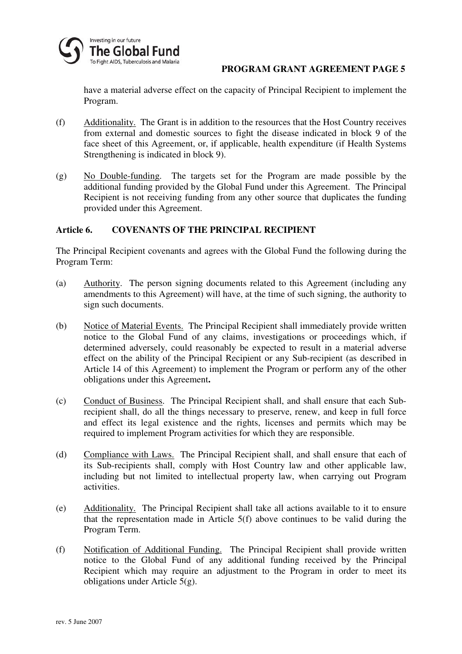

have a material adverse effect on the capacity of Principal Recipient to implement the Program.

- (f) Additionality. The Grant is in addition to the resources that the Host Country receives from external and domestic sources to fight the disease indicated in block 9 of the face sheet of this Agreement, or, if applicable, health expenditure (if Health Systems Strengthening is indicated in block 9).
- (g) No Double-funding. The targets set for the Program are made possible by the additional funding provided by the Global Fund under this Agreement. The Principal Recipient is not receiving funding from any other source that duplicates the funding provided under this Agreement.

# **Article 6. COVENANTS OF THE PRINCIPAL RECIPIENT**

The Principal Recipient covenants and agrees with the Global Fund the following during the Program Term:

- (a) Authority. The person signing documents related to this Agreement (including any amendments to this Agreement) will have, at the time of such signing, the authority to sign such documents.
- (b) Notice of Material Events. The Principal Recipient shall immediately provide written notice to the Global Fund of any claims, investigations or proceedings which, if determined adversely, could reasonably be expected to result in a material adverse effect on the ability of the Principal Recipient or any Sub-recipient (as described in Article 14 of this Agreement) to implement the Program or perform any of the other obligations under this Agreement**.**
- (c) Conduct of Business. The Principal Recipient shall, and shall ensure that each Subrecipient shall, do all the things necessary to preserve, renew, and keep in full force and effect its legal existence and the rights, licenses and permits which may be required to implement Program activities for which they are responsible.
- (d) Compliance with Laws. The Principal Recipient shall, and shall ensure that each of its Sub-recipients shall, comply with Host Country law and other applicable law, including but not limited to intellectual property law, when carrying out Program activities.
- (e) Additionality. The Principal Recipient shall take all actions available to it to ensure that the representation made in Article 5(f) above continues to be valid during the Program Term.
- (f) Notification of Additional Funding. The Principal Recipient shall provide written notice to the Global Fund of any additional funding received by the Principal Recipient which may require an adjustment to the Program in order to meet its obligations under Article 5(g).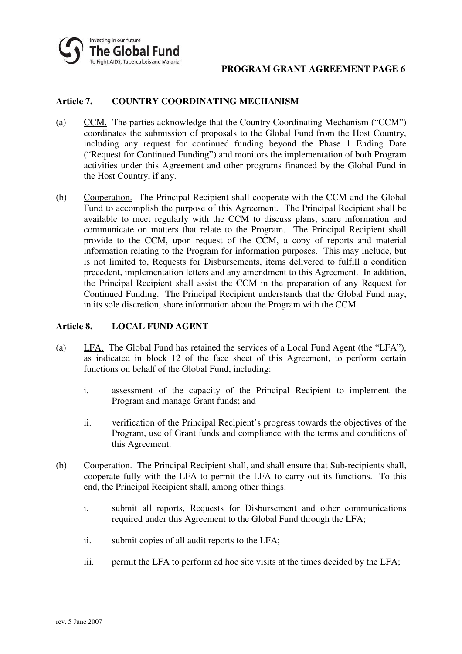

# **Article 7. COUNTRY COORDINATING MECHANISM**

- (a) CCM. The parties acknowledge that the Country Coordinating Mechanism ("CCM") coordinates the submission of proposals to the Global Fund from the Host Country, including any request for continued funding beyond the Phase 1 Ending Date ("Request for Continued Funding") and monitors the implementation of both Program activities under this Agreement and other programs financed by the Global Fund in the Host Country, if any.
- (b) Cooperation. The Principal Recipient shall cooperate with the CCM and the Global Fund to accomplish the purpose of this Agreement. The Principal Recipient shall be available to meet regularly with the CCM to discuss plans, share information and communicate on matters that relate to the Program. The Principal Recipient shall provide to the CCM, upon request of the CCM, a copy of reports and material information relating to the Program for information purposes. This may include, but is not limited to, Requests for Disbursements, items delivered to fulfill a condition precedent, implementation letters and any amendment to this Agreement. In addition, the Principal Recipient shall assist the CCM in the preparation of any Request for Continued Funding. The Principal Recipient understands that the Global Fund may, in its sole discretion, share information about the Program with the CCM.

#### **Article 8. LOCAL FUND AGENT**

- (a) LFA. The Global Fund has retained the services of a Local Fund Agent (the "LFA"), as indicated in block 12 of the face sheet of this Agreement, to perform certain functions on behalf of the Global Fund, including:
	- i. assessment of the capacity of the Principal Recipient to implement the Program and manage Grant funds; and
	- ii. verification of the Principal Recipient's progress towards the objectives of the Program, use of Grant funds and compliance with the terms and conditions of this Agreement.
- (b) Cooperation. The Principal Recipient shall, and shall ensure that Sub-recipients shall, cooperate fully with the LFA to permit the LFA to carry out its functions. To this end, the Principal Recipient shall, among other things:
	- i. submit all reports, Requests for Disbursement and other communications required under this Agreement to the Global Fund through the LFA;
	- ii. submit copies of all audit reports to the LFA;
	- iii. permit the LFA to perform ad hoc site visits at the times decided by the LFA;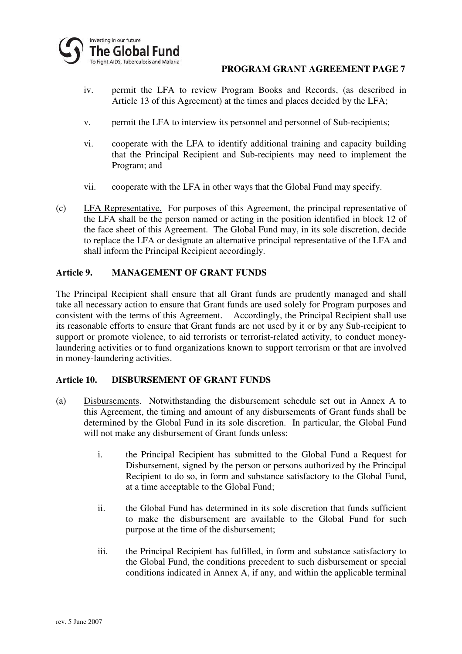

- iv. permit the LFA to review Program Books and Records, (as described in Article 13 of this Agreement) at the times and places decided by the LFA;
- v. permit the LFA to interview its personnel and personnel of Sub-recipients;
- vi. cooperate with the LFA to identify additional training and capacity building that the Principal Recipient and Sub-recipients may need to implement the Program; and
- vii. cooperate with the LFA in other ways that the Global Fund may specify.
- (c) LFA Representative. For purposes of this Agreement, the principal representative of the LFA shall be the person named or acting in the position identified in block 12 of the face sheet of this Agreement. The Global Fund may, in its sole discretion, decide to replace the LFA or designate an alternative principal representative of the LFA and shall inform the Principal Recipient accordingly.

### **Article 9. MANAGEMENT OF GRANT FUNDS**

The Principal Recipient shall ensure that all Grant funds are prudently managed and shall take all necessary action to ensure that Grant funds are used solely for Program purposes and consistent with the terms of this Agreement. Accordingly, the Principal Recipient shall use its reasonable efforts to ensure that Grant funds are not used by it or by any Sub-recipient to support or promote violence, to aid terrorists or terrorist-related activity, to conduct moneylaundering activities or to fund organizations known to support terrorism or that are involved in money-laundering activities.

#### **Article 10. DISBURSEMENT OF GRANT FUNDS**

- (a) Disbursements. Notwithstanding the disbursement schedule set out in Annex A to this Agreement, the timing and amount of any disbursements of Grant funds shall be determined by the Global Fund in its sole discretion. In particular, the Global Fund will not make any disbursement of Grant funds unless:
	- i. the Principal Recipient has submitted to the Global Fund a Request for Disbursement, signed by the person or persons authorized by the Principal Recipient to do so, in form and substance satisfactory to the Global Fund, at a time acceptable to the Global Fund;
	- ii. the Global Fund has determined in its sole discretion that funds sufficient to make the disbursement are available to the Global Fund for such purpose at the time of the disbursement;
	- iii. the Principal Recipient has fulfilled, in form and substance satisfactory to the Global Fund, the conditions precedent to such disbursement or special conditions indicated in Annex A, if any, and within the applicable terminal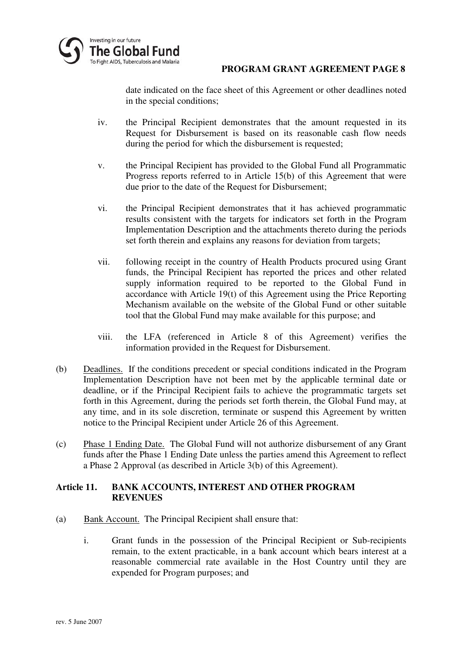

date indicated on the face sheet of this Agreement or other deadlines noted in the special conditions;

- iv. the Principal Recipient demonstrates that the amount requested in its Request for Disbursement is based on its reasonable cash flow needs during the period for which the disbursement is requested;
- v. the Principal Recipient has provided to the Global Fund all Programmatic Progress reports referred to in Article 15(b) of this Agreement that were due prior to the date of the Request for Disbursement;
- vi. the Principal Recipient demonstrates that it has achieved programmatic results consistent with the targets for indicators set forth in the Program Implementation Description and the attachments thereto during the periods set forth therein and explains any reasons for deviation from targets;
- vii. following receipt in the country of Health Products procured using Grant funds, the Principal Recipient has reported the prices and other related supply information required to be reported to the Global Fund in accordance with Article 19(t) of this Agreement using the Price Reporting Mechanism available on the website of the Global Fund or other suitable tool that the Global Fund may make available for this purpose; and
- viii. the LFA (referenced in Article 8 of this Agreement) verifies the information provided in the Request for Disbursement.
- (b) Deadlines. If the conditions precedent or special conditions indicated in the Program Implementation Description have not been met by the applicable terminal date or deadline, or if the Principal Recipient fails to achieve the programmatic targets set forth in this Agreement, during the periods set forth therein, the Global Fund may, at any time, and in its sole discretion, terminate or suspend this Agreement by written notice to the Principal Recipient under Article 26 of this Agreement.
- (c) Phase 1 Ending Date. The Global Fund will not authorize disbursement of any Grant funds after the Phase 1 Ending Date unless the parties amend this Agreement to reflect a Phase 2 Approval (as described in Article 3(b) of this Agreement).

### **Article 11. BANK ACCOUNTS, INTEREST AND OTHER PROGRAM REVENUES**

- (a) Bank Account. The Principal Recipient shall ensure that:
	- i. Grant funds in the possession of the Principal Recipient or Sub-recipients remain, to the extent practicable, in a bank account which bears interest at a reasonable commercial rate available in the Host Country until they are expended for Program purposes; and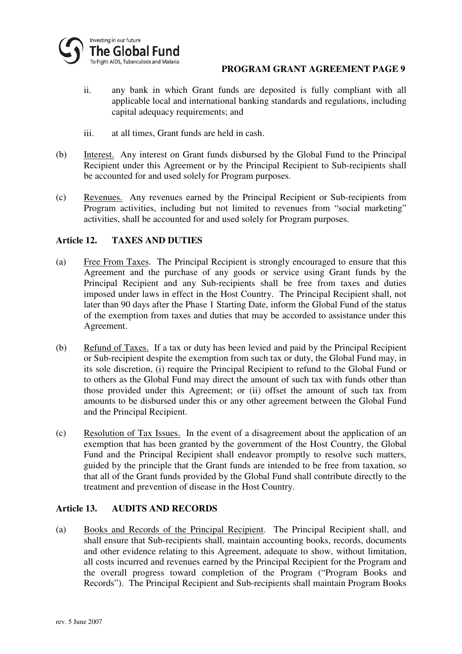

- ii. any bank in which Grant funds are deposited is fully compliant with all applicable local and international banking standards and regulations, including capital adequacy requirements; and
- iii. at all times, Grant funds are held in cash.
- (b) Interest. Any interest on Grant funds disbursed by the Global Fund to the Principal Recipient under this Agreement or by the Principal Recipient to Sub-recipients shall be accounted for and used solely for Program purposes.
- (c) Revenues. Any revenues earned by the Principal Recipient or Sub-recipients from Program activities, including but not limited to revenues from "social marketing" activities, shall be accounted for and used solely for Program purposes.

# **Article 12. TAXES AND DUTIES**

- (a) Free From Taxes. The Principal Recipient is strongly encouraged to ensure that this Agreement and the purchase of any goods or service using Grant funds by the Principal Recipient and any Sub-recipients shall be free from taxes and duties imposed under laws in effect in the Host Country. The Principal Recipient shall, not later than 90 days after the Phase 1 Starting Date, inform the Global Fund of the status of the exemption from taxes and duties that may be accorded to assistance under this Agreement.
- (b) Refund of Taxes. If a tax or duty has been levied and paid by the Principal Recipient or Sub-recipient despite the exemption from such tax or duty, the Global Fund may, in its sole discretion, (i) require the Principal Recipient to refund to the Global Fund or to others as the Global Fund may direct the amount of such tax with funds other than those provided under this Agreement; or (ii) offset the amount of such tax from amounts to be disbursed under this or any other agreement between the Global Fund and the Principal Recipient.
- (c) Resolution of Tax Issues. In the event of a disagreement about the application of an exemption that has been granted by the government of the Host Country, the Global Fund and the Principal Recipient shall endeavor promptly to resolve such matters, guided by the principle that the Grant funds are intended to be free from taxation, so that all of the Grant funds provided by the Global Fund shall contribute directly to the treatment and prevention of disease in the Host Country.

#### **Article 13. AUDITS AND RECORDS**

(a) Books and Records of the Principal Recipient. The Principal Recipient shall, and shall ensure that Sub-recipients shall, maintain accounting books, records, documents and other evidence relating to this Agreement, adequate to show, without limitation, all costs incurred and revenues earned by the Principal Recipient for the Program and the overall progress toward completion of the Program ("Program Books and Records"). The Principal Recipient and Sub-recipients shall maintain Program Books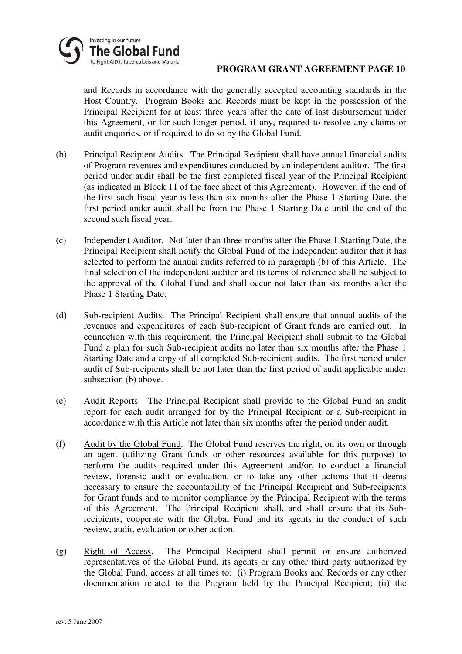

and Records in accordance with the generally accepted accounting standards in the Host Country. Program Books and Records must be kept in the possession of the Principal Recipient for at least three years after the date of last disbursement under this Agreement, or for such longer period, if any, required to resolve any claims or audit enquiries, or if required to do so by the Global Fund.

- (b) Principal Recipient Audits. The Principal Recipient shall have annual financial audits of Program revenues and expenditures conducted by an independent auditor. The first period under audit shall be the first completed fiscal year of the Principal Recipient (as indicated in Block 11 of the face sheet of this Agreement). However, if the end of the first such fiscal year is less than six months after the Phase 1 Starting Date, the first period under audit shall be from the Phase 1 Starting Date until the end of the second such fiscal year.
- (c) Independent Auditor. Not later than three months after the Phase 1 Starting Date, the Principal Recipient shall notify the Global Fund of the independent auditor that it has selected to perform the annual audits referred to in paragraph (b) of this Article. The final selection of the independent auditor and its terms of reference shall be subject to the approval of the Global Fund and shall occur not later than six months after the Phase 1 Starting Date.
- (d) Sub-recipient Audits. The Principal Recipient shall ensure that annual audits of the revenues and expenditures of each Sub-recipient of Grant funds are carried out. In connection with this requirement, the Principal Recipient shall submit to the Global Fund a plan for such Sub-recipient audits no later than six months after the Phase 1 Starting Date and a copy of all completed Sub-recipient audits. The first period under audit of Sub-recipients shall be not later than the first period of audit applicable under subsection (b) above.
- (e) Audit Reports. The Principal Recipient shall provide to the Global Fund an audit report for each audit arranged for by the Principal Recipient or a Sub-recipient in accordance with this Article not later than six months after the period under audit.
- (f) Audit by the Global Fund. The Global Fund reserves the right, on its own or through an agent (utilizing Grant funds or other resources available for this purpose) to perform the audits required under this Agreement and/or, to conduct a financial review, forensic audit or evaluation, or to take any other actions that it deems necessary to ensure the accountability of the Principal Recipient and Sub-recipients for Grant funds and to monitor compliance by the Principal Recipient with the terms of this Agreement. The Principal Recipient shall, and shall ensure that its Subrecipients, cooperate with the Global Fund and its agents in the conduct of such review, audit, evaluation or other action.
- (g) Right of Access. The Principal Recipient shall permit or ensure authorized representatives of the Global Fund, its agents or any other third party authorized by the Global Fund, access at all times to: (i) Program Books and Records or any other documentation related to the Program held by the Principal Recipient; (ii) the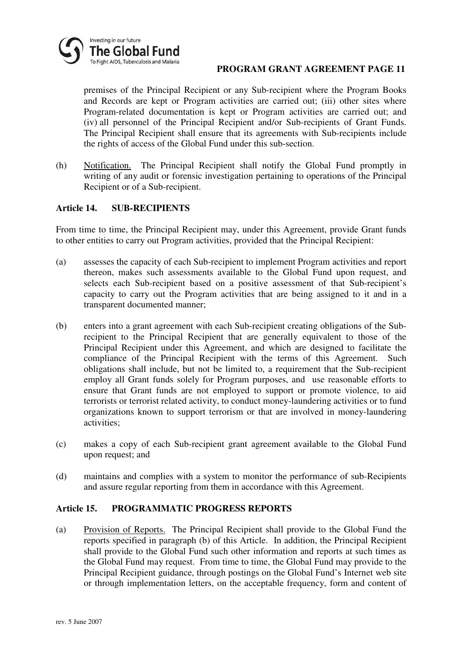

premises of the Principal Recipient or any Sub-recipient where the Program Books and Records are kept or Program activities are carried out; (iii) other sites where Program-related documentation is kept or Program activities are carried out; and (iv) all personnel of the Principal Recipient and/or Sub-recipients of Grant Funds. The Principal Recipient shall ensure that its agreements with Sub-recipients include the rights of access of the Global Fund under this sub-section.

(h) Notification. The Principal Recipient shall notify the Global Fund promptly in writing of any audit or forensic investigation pertaining to operations of the Principal Recipient or of a Sub-recipient.

### **Article 14. SUB-RECIPIENTS**

From time to time, the Principal Recipient may, under this Agreement, provide Grant funds to other entities to carry out Program activities, provided that the Principal Recipient:

- (a) assesses the capacity of each Sub-recipient to implement Program activities and report thereon, makes such assessments available to the Global Fund upon request, and selects each Sub-recipient based on a positive assessment of that Sub-recipient's capacity to carry out the Program activities that are being assigned to it and in a transparent documented manner;
- (b) enters into a grant agreement with each Sub-recipient creating obligations of the Subrecipient to the Principal Recipient that are generally equivalent to those of the Principal Recipient under this Agreement, and which are designed to facilitate the compliance of the Principal Recipient with the terms of this Agreement. Such obligations shall include, but not be limited to, a requirement that the Sub-recipient employ all Grant funds solely for Program purposes, and use reasonable efforts to ensure that Grant funds are not employed to support or promote violence, to aid terrorists or terrorist related activity, to conduct money-laundering activities or to fund organizations known to support terrorism or that are involved in money-laundering activities;
- (c) makes a copy of each Sub-recipient grant agreement available to the Global Fund upon request; and
- (d) maintains and complies with a system to monitor the performance of sub-Recipients and assure regular reporting from them in accordance with this Agreement.

#### **Article 15. PROGRAMMATIC PROGRESS REPORTS**

(a) Provision of Reports. The Principal Recipient shall provide to the Global Fund the reports specified in paragraph (b) of this Article. In addition, the Principal Recipient shall provide to the Global Fund such other information and reports at such times as the Global Fund may request. From time to time, the Global Fund may provide to the Principal Recipient guidance, through postings on the Global Fund's Internet web site or through implementation letters, on the acceptable frequency, form and content of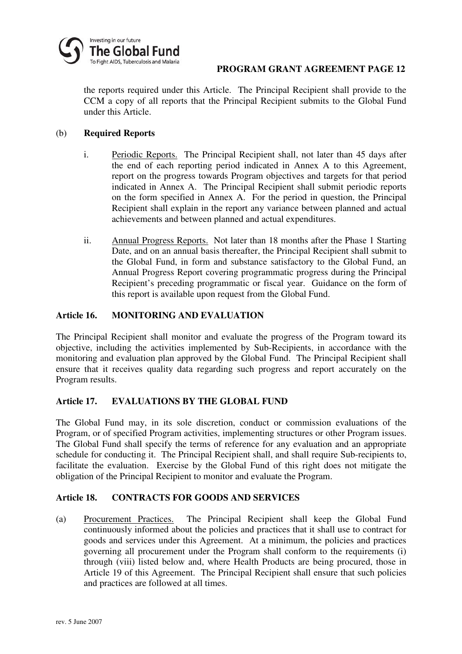

the reports required under this Article. The Principal Recipient shall provide to the CCM a copy of all reports that the Principal Recipient submits to the Global Fund under this Article.

### (b) **Required Reports**

- i. Periodic Reports. The Principal Recipient shall, not later than 45 days after the end of each reporting period indicated in Annex A to this Agreement, report on the progress towards Program objectives and targets for that period indicated in Annex A. The Principal Recipient shall submit periodic reports on the form specified in Annex A. For the period in question, the Principal Recipient shall explain in the report any variance between planned and actual achievements and between planned and actual expenditures.
- ii. Annual Progress Reports. Not later than 18 months after the Phase 1 Starting Date, and on an annual basis thereafter, the Principal Recipient shall submit to the Global Fund, in form and substance satisfactory to the Global Fund, an Annual Progress Report covering programmatic progress during the Principal Recipient's preceding programmatic or fiscal year. Guidance on the form of this report is available upon request from the Global Fund.

# **Article 16. MONITORING AND EVALUATION**

The Principal Recipient shall monitor and evaluate the progress of the Program toward its objective, including the activities implemented by Sub-Recipients, in accordance with the monitoring and evaluation plan approved by the Global Fund. The Principal Recipient shall ensure that it receives quality data regarding such progress and report accurately on the Program results.

#### **Article 17. EVALUATIONS BY THE GLOBAL FUND**

The Global Fund may, in its sole discretion, conduct or commission evaluations of the Program, or of specified Program activities, implementing structures or other Program issues. The Global Fund shall specify the terms of reference for any evaluation and an appropriate schedule for conducting it. The Principal Recipient shall, and shall require Sub-recipients to, facilitate the evaluation. Exercise by the Global Fund of this right does not mitigate the obligation of the Principal Recipient to monitor and evaluate the Program.

#### **Article 18. CONTRACTS FOR GOODS AND SERVICES**

(a) Procurement Practices. The Principal Recipient shall keep the Global Fund continuously informed about the policies and practices that it shall use to contract for goods and services under this Agreement. At a minimum, the policies and practices governing all procurement under the Program shall conform to the requirements (i) through (viii) listed below and, where Health Products are being procured, those in Article 19 of this Agreement. The Principal Recipient shall ensure that such policies and practices are followed at all times.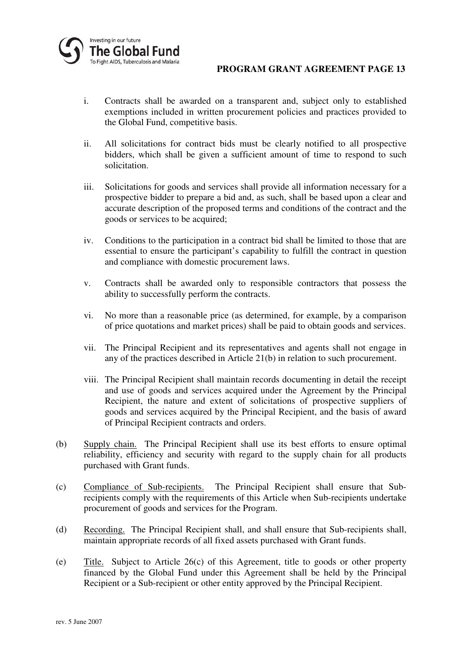

- i. Contracts shall be awarded on a transparent and, subject only to established exemptions included in written procurement policies and practices provided to the Global Fund, competitive basis.
- ii. All solicitations for contract bids must be clearly notified to all prospective bidders, which shall be given a sufficient amount of time to respond to such solicitation.
- iii. Solicitations for goods and services shall provide all information necessary for a prospective bidder to prepare a bid and, as such, shall be based upon a clear and accurate description of the proposed terms and conditions of the contract and the goods or services to be acquired;
- iv. Conditions to the participation in a contract bid shall be limited to those that are essential to ensure the participant's capability to fulfill the contract in question and compliance with domestic procurement laws.
- v. Contracts shall be awarded only to responsible contractors that possess the ability to successfully perform the contracts.
- vi. No more than a reasonable price (as determined, for example, by a comparison of price quotations and market prices) shall be paid to obtain goods and services.
- vii. The Principal Recipient and its representatives and agents shall not engage in any of the practices described in Article 21(b) in relation to such procurement.
- viii. The Principal Recipient shall maintain records documenting in detail the receipt and use of goods and services acquired under the Agreement by the Principal Recipient, the nature and extent of solicitations of prospective suppliers of goods and services acquired by the Principal Recipient, and the basis of award of Principal Recipient contracts and orders.
- (b) Supply chain. The Principal Recipient shall use its best efforts to ensure optimal reliability, efficiency and security with regard to the supply chain for all products purchased with Grant funds.
- (c) Compliance of Sub-recipients. The Principal Recipient shall ensure that Subrecipients comply with the requirements of this Article when Sub-recipients undertake procurement of goods and services for the Program.
- (d) Recording. The Principal Recipient shall, and shall ensure that Sub-recipients shall, maintain appropriate records of all fixed assets purchased with Grant funds.
- (e) Title. Subject to Article 26(c) of this Agreement, title to goods or other property financed by the Global Fund under this Agreement shall be held by the Principal Recipient or a Sub-recipient or other entity approved by the Principal Recipient.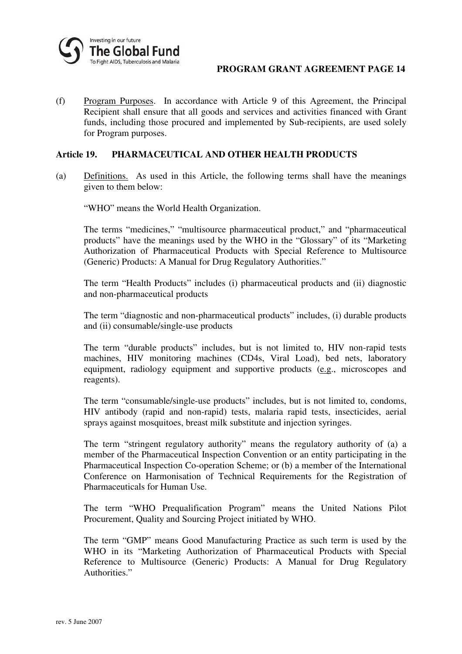

(f) Program Purposes. In accordance with Article 9 of this Agreement, the Principal Recipient shall ensure that all goods and services and activities financed with Grant funds, including those procured and implemented by Sub-recipients, are used solely for Program purposes.

#### **Article 19. PHARMACEUTICAL AND OTHER HEALTH PRODUCTS**

(a) Definitions. As used in this Article, the following terms shall have the meanings given to them below:

"WHO" means the World Health Organization.

The terms "medicines," "multisource pharmaceutical product," and "pharmaceutical products" have the meanings used by the WHO in the "Glossary" of its "Marketing Authorization of Pharmaceutical Products with Special Reference to Multisource (Generic) Products: A Manual for Drug Regulatory Authorities."

The term "Health Products" includes (i) pharmaceutical products and (ii) diagnostic and non-pharmaceutical products

The term "diagnostic and non-pharmaceutical products" includes, (i) durable products and (ii) consumable/single-use products

The term "durable products" includes, but is not limited to, HIV non-rapid tests machines, HIV monitoring machines (CD4s, Viral Load), bed nets, laboratory equipment, radiology equipment and supportive products (e.g., microscopes and reagents).

The term "consumable/single-use products" includes, but is not limited to, condoms, HIV antibody (rapid and non-rapid) tests, malaria rapid tests, insecticides, aerial sprays against mosquitoes, breast milk substitute and injection syringes.

The term "stringent regulatory authority" means the regulatory authority of (a) a member of the Pharmaceutical Inspection Convention or an entity participating in the Pharmaceutical Inspection Co-operation Scheme; or (b) a member of the International Conference on Harmonisation of Technical Requirements for the Registration of Pharmaceuticals for Human Use.

The term "WHO Prequalification Program" means the United Nations Pilot Procurement, Quality and Sourcing Project initiated by WHO.

The term "GMP" means Good Manufacturing Practice as such term is used by the WHO in its "Marketing Authorization of Pharmaceutical Products with Special Reference to Multisource (Generic) Products: A Manual for Drug Regulatory Authorities."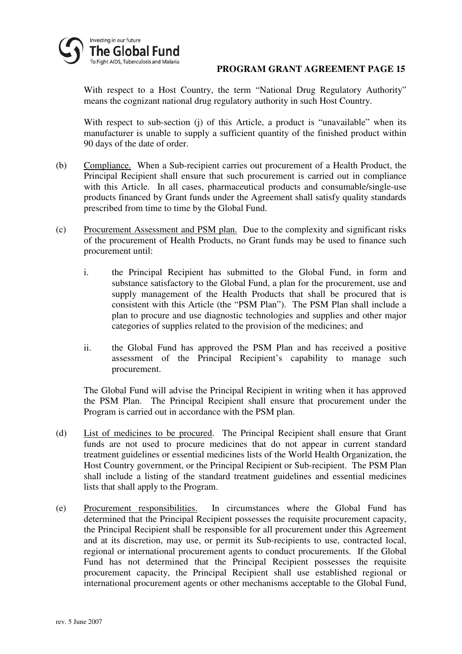

With respect to a Host Country, the term "National Drug Regulatory Authority" means the cognizant national drug regulatory authority in such Host Country.

With respect to sub-section (j) of this Article, a product is "unavailable" when its manufacturer is unable to supply a sufficient quantity of the finished product within 90 days of the date of order.

- (b) Compliance. When a Sub-recipient carries out procurement of a Health Product, the Principal Recipient shall ensure that such procurement is carried out in compliance with this Article. In all cases, pharmaceutical products and consumable/single-use products financed by Grant funds under the Agreement shall satisfy quality standards prescribed from time to time by the Global Fund.
- (c) Procurement Assessment and PSM plan. Due to the complexity and significant risks of the procurement of Health Products, no Grant funds may be used to finance such procurement until:
	- i. the Principal Recipient has submitted to the Global Fund, in form and substance satisfactory to the Global Fund, a plan for the procurement, use and supply management of the Health Products that shall be procured that is consistent with this Article (the "PSM Plan"). The PSM Plan shall include a plan to procure and use diagnostic technologies and supplies and other major categories of supplies related to the provision of the medicines; and
	- ii. the Global Fund has approved the PSM Plan and has received a positive assessment of the Principal Recipient's capability to manage such procurement.

The Global Fund will advise the Principal Recipient in writing when it has approved the PSM Plan. The Principal Recipient shall ensure that procurement under the Program is carried out in accordance with the PSM plan.

- (d) List of medicines to be procured. The Principal Recipient shall ensure that Grant funds are not used to procure medicines that do not appear in current standard treatment guidelines or essential medicines lists of the World Health Organization, the Host Country government, or the Principal Recipient or Sub-recipient. The PSM Plan shall include a listing of the standard treatment guidelines and essential medicines lists that shall apply to the Program.
- (e) Procurement responsibilities. In circumstances where the Global Fund has determined that the Principal Recipient possesses the requisite procurement capacity, the Principal Recipient shall be responsible for all procurement under this Agreement and at its discretion, may use, or permit its Sub-recipients to use, contracted local, regional or international procurement agents to conduct procurements. If the Global Fund has not determined that the Principal Recipient possesses the requisite procurement capacity, the Principal Recipient shall use established regional or international procurement agents or other mechanisms acceptable to the Global Fund,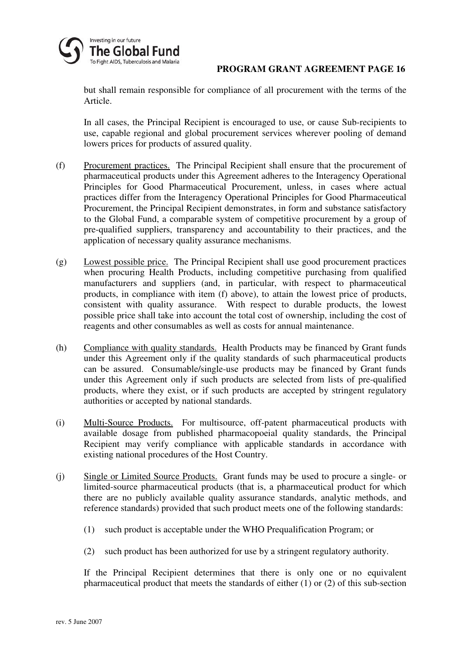

but shall remain responsible for compliance of all procurement with the terms of the Article.

In all cases, the Principal Recipient is encouraged to use, or cause Sub-recipients to use, capable regional and global procurement services wherever pooling of demand lowers prices for products of assured quality.

- (f) Procurement practices. The Principal Recipient shall ensure that the procurement of pharmaceutical products under this Agreement adheres to the Interagency Operational Principles for Good Pharmaceutical Procurement, unless, in cases where actual practices differ from the Interagency Operational Principles for Good Pharmaceutical Procurement, the Principal Recipient demonstrates, in form and substance satisfactory to the Global Fund, a comparable system of competitive procurement by a group of pre-qualified suppliers, transparency and accountability to their practices, and the application of necessary quality assurance mechanisms.
- (g) Lowest possible price. The Principal Recipient shall use good procurement practices when procuring Health Products, including competitive purchasing from qualified manufacturers and suppliers (and, in particular, with respect to pharmaceutical products, in compliance with item (f) above), to attain the lowest price of products, consistent with quality assurance. With respect to durable products, the lowest possible price shall take into account the total cost of ownership, including the cost of reagents and other consumables as well as costs for annual maintenance.
- (h) Compliance with quality standards. Health Products may be financed by Grant funds under this Agreement only if the quality standards of such pharmaceutical products can be assured. Consumable/single-use products may be financed by Grant funds under this Agreement only if such products are selected from lists of pre-qualified products, where they exist, or if such products are accepted by stringent regulatory authorities or accepted by national standards.
- (i) Multi-Source Products. For multisource, off-patent pharmaceutical products with available dosage from published pharmacopoeial quality standards, the Principal Recipient may verify compliance with applicable standards in accordance with existing national procedures of the Host Country.
- (j) Single or Limited Source Products. Grant funds may be used to procure a single- or limited-source pharmaceutical products (that is, a pharmaceutical product for which there are no publicly available quality assurance standards, analytic methods, and reference standards) provided that such product meets one of the following standards:
	- (1) such product is acceptable under the WHO Prequalification Program; or
	- (2) such product has been authorized for use by a stringent regulatory authority.

If the Principal Recipient determines that there is only one or no equivalent pharmaceutical product that meets the standards of either (1) or (2) of this sub-section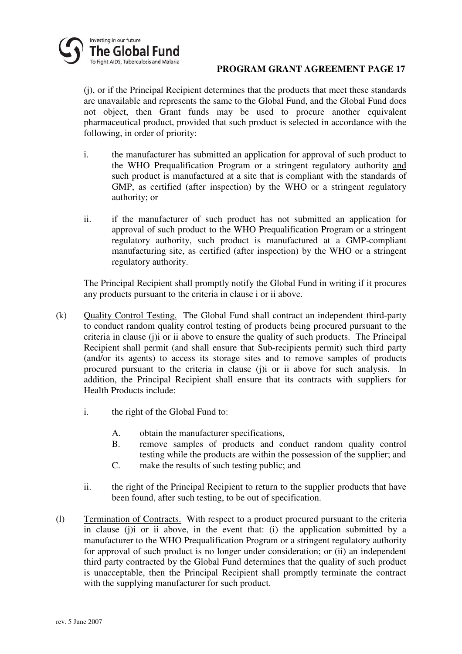

(j), or if the Principal Recipient determines that the products that meet these standards are unavailable and represents the same to the Global Fund, and the Global Fund does not object, then Grant funds may be used to procure another equivalent pharmaceutical product, provided that such product is selected in accordance with the following, in order of priority:

- i. the manufacturer has submitted an application for approval of such product to the WHO Prequalification Program or a stringent regulatory authority and such product is manufactured at a site that is compliant with the standards of GMP, as certified (after inspection) by the WHO or a stringent regulatory authority; or
- ii. if the manufacturer of such product has not submitted an application for approval of such product to the WHO Prequalification Program or a stringent regulatory authority, such product is manufactured at a GMP-compliant manufacturing site, as certified (after inspection) by the WHO or a stringent regulatory authority.

The Principal Recipient shall promptly notify the Global Fund in writing if it procures any products pursuant to the criteria in clause i or ii above.

- (k) Quality Control Testing. The Global Fund shall contract an independent third-party to conduct random quality control testing of products being procured pursuant to the criteria in clause (j)i or ii above to ensure the quality of such products. The Principal Recipient shall permit (and shall ensure that Sub-recipients permit) such third party (and/or its agents) to access its storage sites and to remove samples of products procured pursuant to the criteria in clause (j)i or ii above for such analysis. In addition, the Principal Recipient shall ensure that its contracts with suppliers for Health Products include:
	- i. the right of the Global Fund to:
		- A. obtain the manufacturer specifications,
		- B. remove samples of products and conduct random quality control testing while the products are within the possession of the supplier; and
		- C. make the results of such testing public; and
	- ii. the right of the Principal Recipient to return to the supplier products that have been found, after such testing, to be out of specification.
- (l) Termination of Contracts. With respect to a product procured pursuant to the criteria in clause (i)i or ii above, in the event that: (i) the application submitted by a manufacturer to the WHO Prequalification Program or a stringent regulatory authority for approval of such product is no longer under consideration; or (ii) an independent third party contracted by the Global Fund determines that the quality of such product is unacceptable, then the Principal Recipient shall promptly terminate the contract with the supplying manufacturer for such product.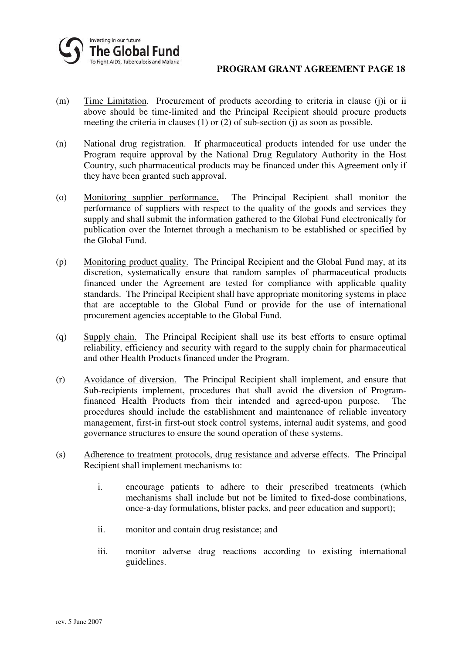- (m) Time Limitation. Procurement of products according to criteria in clause (j)i or ii above should be time-limited and the Principal Recipient should procure products meeting the criteria in clauses (1) or (2) of sub-section (j) as soon as possible.
- (n) National drug registration. If pharmaceutical products intended for use under the Program require approval by the National Drug Regulatory Authority in the Host Country, such pharmaceutical products may be financed under this Agreement only if they have been granted such approval.
- (o) Monitoring supplier performance. The Principal Recipient shall monitor the performance of suppliers with respect to the quality of the goods and services they supply and shall submit the information gathered to the Global Fund electronically for publication over the Internet through a mechanism to be established or specified by the Global Fund.
- (p) Monitoring product quality. The Principal Recipient and the Global Fund may, at its discretion, systematically ensure that random samples of pharmaceutical products financed under the Agreement are tested for compliance with applicable quality standards. The Principal Recipient shall have appropriate monitoring systems in place that are acceptable to the Global Fund or provide for the use of international procurement agencies acceptable to the Global Fund.
- (q) Supply chain. The Principal Recipient shall use its best efforts to ensure optimal reliability, efficiency and security with regard to the supply chain for pharmaceutical and other Health Products financed under the Program.
- (r) Avoidance of diversion. The Principal Recipient shall implement, and ensure that Sub-recipients implement, procedures that shall avoid the diversion of Programfinanced Health Products from their intended and agreed-upon purpose. The procedures should include the establishment and maintenance of reliable inventory management, first-in first-out stock control systems, internal audit systems, and good governance structures to ensure the sound operation of these systems.
- (s) Adherence to treatment protocols, drug resistance and adverse effects. The Principal Recipient shall implement mechanisms to:
	- i. encourage patients to adhere to their prescribed treatments (which mechanisms shall include but not be limited to fixed-dose combinations, once-a-day formulations, blister packs, and peer education and support);
	- ii. monitor and contain drug resistance; and
	- iii. monitor adverse drug reactions according to existing international guidelines.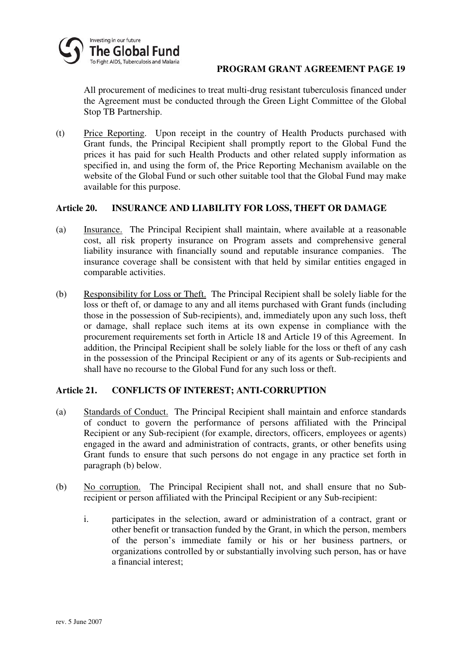

All procurement of medicines to treat multi-drug resistant tuberculosis financed under the Agreement must be conducted through the Green Light Committee of the Global Stop TB Partnership.

(t) Price Reporting. Upon receipt in the country of Health Products purchased with Grant funds, the Principal Recipient shall promptly report to the Global Fund the prices it has paid for such Health Products and other related supply information as specified in, and using the form of, the Price Reporting Mechanism available on the website of the Global Fund or such other suitable tool that the Global Fund may make available for this purpose.

### **Article 20. INSURANCE AND LIABILITY FOR LOSS, THEFT OR DAMAGE**

- (a) Insurance. The Principal Recipient shall maintain, where available at a reasonable cost, all risk property insurance on Program assets and comprehensive general liability insurance with financially sound and reputable insurance companies. The insurance coverage shall be consistent with that held by similar entities engaged in comparable activities.
- (b) Responsibility for Loss or Theft. The Principal Recipient shall be solely liable for the loss or theft of, or damage to any and all items purchased with Grant funds (including those in the possession of Sub-recipients), and, immediately upon any such loss, theft or damage, shall replace such items at its own expense in compliance with the procurement requirements set forth in Article 18 and Article 19 of this Agreement. In addition, the Principal Recipient shall be solely liable for the loss or theft of any cash in the possession of the Principal Recipient or any of its agents or Sub-recipients and shall have no recourse to the Global Fund for any such loss or theft.

# **Article 21. CONFLICTS OF INTEREST; ANTI-CORRUPTION**

- (a) Standards of Conduct. The Principal Recipient shall maintain and enforce standards of conduct to govern the performance of persons affiliated with the Principal Recipient or any Sub-recipient (for example, directors, officers, employees or agents) engaged in the award and administration of contracts, grants, or other benefits using Grant funds to ensure that such persons do not engage in any practice set forth in paragraph (b) below.
- (b) No corruption. The Principal Recipient shall not, and shall ensure that no Subrecipient or person affiliated with the Principal Recipient or any Sub-recipient:
	- i. participates in the selection, award or administration of a contract, grant or other benefit or transaction funded by the Grant, in which the person, members of the person's immediate family or his or her business partners, or organizations controlled by or substantially involving such person, has or have a financial interest;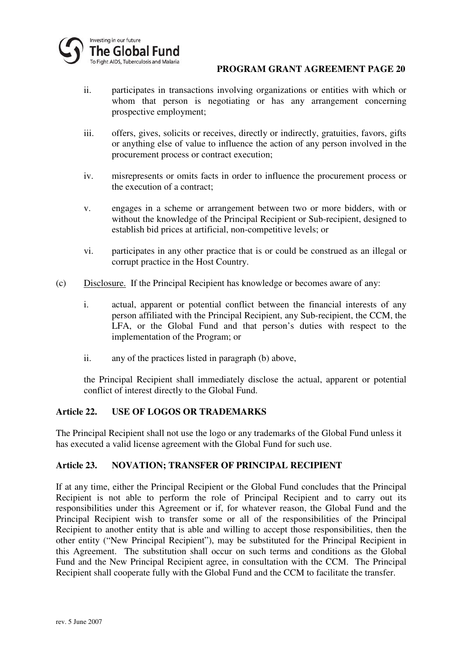

- ii. participates in transactions involving organizations or entities with which or whom that person is negotiating or has any arrangement concerning prospective employment;
- iii. offers, gives, solicits or receives, directly or indirectly, gratuities, favors, gifts or anything else of value to influence the action of any person involved in the procurement process or contract execution;
- iv. misrepresents or omits facts in order to influence the procurement process or the execution of a contract;
- v. engages in a scheme or arrangement between two or more bidders, with or without the knowledge of the Principal Recipient or Sub-recipient, designed to establish bid prices at artificial, non-competitive levels; or
- vi. participates in any other practice that is or could be construed as an illegal or corrupt practice in the Host Country.
- (c) Disclosure. If the Principal Recipient has knowledge or becomes aware of any:
	- i. actual, apparent or potential conflict between the financial interests of any person affiliated with the Principal Recipient, any Sub-recipient, the CCM, the LFA, or the Global Fund and that person's duties with respect to the implementation of the Program; or
	- ii. any of the practices listed in paragraph (b) above,

the Principal Recipient shall immediately disclose the actual, apparent or potential conflict of interest directly to the Global Fund.

# **Article 22. USE OF LOGOS OR TRADEMARKS**

The Principal Recipient shall not use the logo or any trademarks of the Global Fund unless it has executed a valid license agreement with the Global Fund for such use.

# **Article 23. NOVATION; TRANSFER OF PRINCIPAL RECIPIENT**

If at any time, either the Principal Recipient or the Global Fund concludes that the Principal Recipient is not able to perform the role of Principal Recipient and to carry out its responsibilities under this Agreement or if, for whatever reason, the Global Fund and the Principal Recipient wish to transfer some or all of the responsibilities of the Principal Recipient to another entity that is able and willing to accept those responsibilities, then the other entity ("New Principal Recipient"), may be substituted for the Principal Recipient in this Agreement. The substitution shall occur on such terms and conditions as the Global Fund and the New Principal Recipient agree, in consultation with the CCM. The Principal Recipient shall cooperate fully with the Global Fund and the CCM to facilitate the transfer.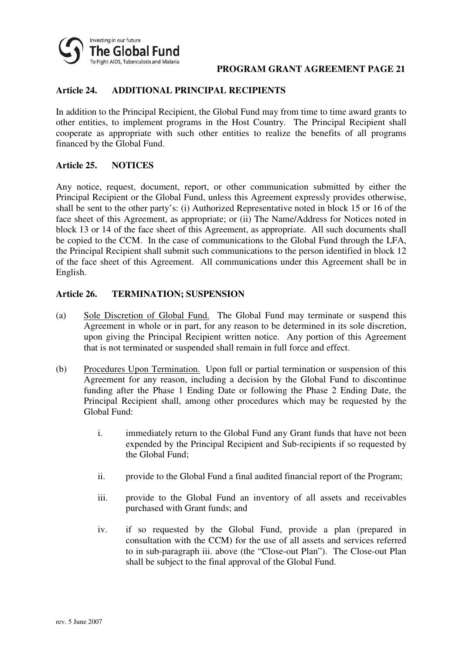

### **Article 24. ADDITIONAL PRINCIPAL RECIPIENTS**

In addition to the Principal Recipient, the Global Fund may from time to time award grants to other entities, to implement programs in the Host Country. The Principal Recipient shall cooperate as appropriate with such other entities to realize the benefits of all programs financed by the Global Fund.

#### **Article 25. NOTICES**

Any notice, request, document, report, or other communication submitted by either the Principal Recipient or the Global Fund, unless this Agreement expressly provides otherwise, shall be sent to the other party's: (i) Authorized Representative noted in block 15 or 16 of the face sheet of this Agreement, as appropriate; or (ii) The Name/Address for Notices noted in block 13 or 14 of the face sheet of this Agreement, as appropriate. All such documents shall be copied to the CCM. In the case of communications to the Global Fund through the LFA, the Principal Recipient shall submit such communications to the person identified in block 12 of the face sheet of this Agreement. All communications under this Agreement shall be in English.

### **Article 26. TERMINATION; SUSPENSION**

- (a) Sole Discretion of Global Fund. The Global Fund may terminate or suspend this Agreement in whole or in part, for any reason to be determined in its sole discretion, upon giving the Principal Recipient written notice. Any portion of this Agreement that is not terminated or suspended shall remain in full force and effect.
- (b) Procedures Upon Termination. Upon full or partial termination or suspension of this Agreement for any reason, including a decision by the Global Fund to discontinue funding after the Phase 1 Ending Date or following the Phase 2 Ending Date, the Principal Recipient shall, among other procedures which may be requested by the Global Fund:
	- i. immediately return to the Global Fund any Grant funds that have not been expended by the Principal Recipient and Sub-recipients if so requested by the Global Fund;
	- ii. provide to the Global Fund a final audited financial report of the Program;
	- iii. provide to the Global Fund an inventory of all assets and receivables purchased with Grant funds; and
	- iv. if so requested by the Global Fund, provide a plan (prepared in consultation with the CCM) for the use of all assets and services referred to in sub-paragraph iii. above (the "Close-out Plan"). The Close-out Plan shall be subject to the final approval of the Global Fund.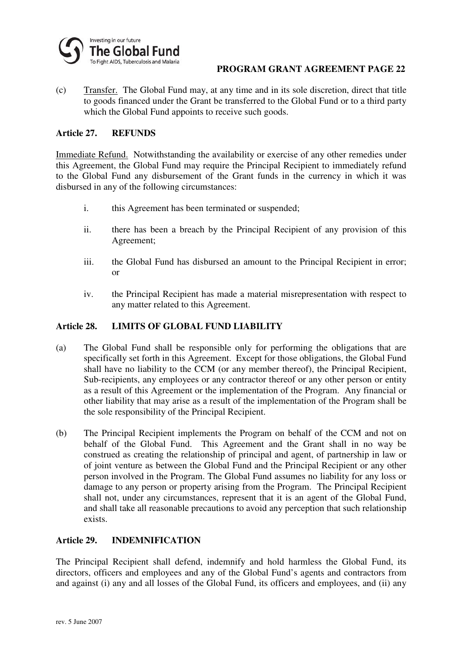

(c) Transfer. The Global Fund may, at any time and in its sole discretion, direct that title to goods financed under the Grant be transferred to the Global Fund or to a third party which the Global Fund appoints to receive such goods.

### **Article 27. REFUNDS**

Immediate Refund. Notwithstanding the availability or exercise of any other remedies under this Agreement, the Global Fund may require the Principal Recipient to immediately refund to the Global Fund any disbursement of the Grant funds in the currency in which it was disbursed in any of the following circumstances:

- i. this Agreement has been terminated or suspended;
- ii. there has been a breach by the Principal Recipient of any provision of this Agreement;
- iii. the Global Fund has disbursed an amount to the Principal Recipient in error; or
- iv. the Principal Recipient has made a material misrepresentation with respect to any matter related to this Agreement.

#### **Article 28. LIMITS OF GLOBAL FUND LIABILITY**

- (a) The Global Fund shall be responsible only for performing the obligations that are specifically set forth in this Agreement. Except for those obligations, the Global Fund shall have no liability to the CCM (or any member thereof), the Principal Recipient, Sub-recipients, any employees or any contractor thereof or any other person or entity as a result of this Agreement or the implementation of the Program. Any financial or other liability that may arise as a result of the implementation of the Program shall be the sole responsibility of the Principal Recipient.
- (b) The Principal Recipient implements the Program on behalf of the CCM and not on behalf of the Global Fund. This Agreement and the Grant shall in no way be construed as creating the relationship of principal and agent, of partnership in law or of joint venture as between the Global Fund and the Principal Recipient or any other person involved in the Program. The Global Fund assumes no liability for any loss or damage to any person or property arising from the Program. The Principal Recipient shall not, under any circumstances, represent that it is an agent of the Global Fund, and shall take all reasonable precautions to avoid any perception that such relationship exists.

# **Article 29. INDEMNIFICATION**

The Principal Recipient shall defend, indemnify and hold harmless the Global Fund, its directors, officers and employees and any of the Global Fund's agents and contractors from and against (i) any and all losses of the Global Fund, its officers and employees, and (ii) any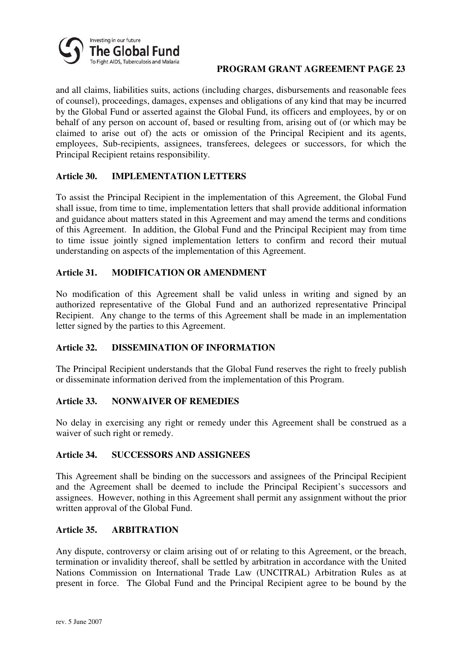

and all claims, liabilities suits, actions (including charges, disbursements and reasonable fees of counsel), proceedings, damages, expenses and obligations of any kind that may be incurred by the Global Fund or asserted against the Global Fund, its officers and employees, by or on behalf of any person on account of, based or resulting from, arising out of (or which may be claimed to arise out of) the acts or omission of the Principal Recipient and its agents, employees, Sub-recipients, assignees, transferees, delegees or successors, for which the Principal Recipient retains responsibility.

# **Article 30. IMPLEMENTATION LETTERS**

To assist the Principal Recipient in the implementation of this Agreement, the Global Fund shall issue, from time to time, implementation letters that shall provide additional information and guidance about matters stated in this Agreement and may amend the terms and conditions of this Agreement. In addition, the Global Fund and the Principal Recipient may from time to time issue jointly signed implementation letters to confirm and record their mutual understanding on aspects of the implementation of this Agreement.

### **Article 31. MODIFICATION OR AMENDMENT**

No modification of this Agreement shall be valid unless in writing and signed by an authorized representative of the Global Fund and an authorized representative Principal Recipient. Any change to the terms of this Agreement shall be made in an implementation letter signed by the parties to this Agreement.

# **Article 32. DISSEMINATION OF INFORMATION**

The Principal Recipient understands that the Global Fund reserves the right to freely publish or disseminate information derived from the implementation of this Program.

#### **Article 33. NONWAIVER OF REMEDIES**

No delay in exercising any right or remedy under this Agreement shall be construed as a waiver of such right or remedy.

#### **Article 34. SUCCESSORS AND ASSIGNEES**

This Agreement shall be binding on the successors and assignees of the Principal Recipient and the Agreement shall be deemed to include the Principal Recipient's successors and assignees. However, nothing in this Agreement shall permit any assignment without the prior written approval of the Global Fund.

# **Article 35. ARBITRATION**

Any dispute, controversy or claim arising out of or relating to this Agreement, or the breach, termination or invalidity thereof, shall be settled by arbitration in accordance with the United Nations Commission on International Trade Law (UNCITRAL) Arbitration Rules as at present in force. The Global Fund and the Principal Recipient agree to be bound by the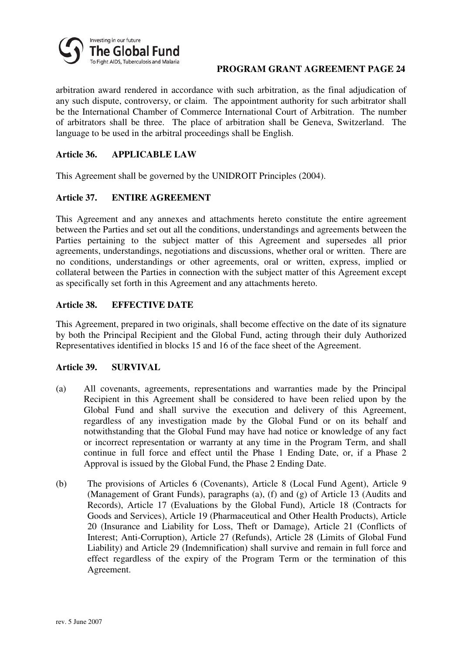

arbitration award rendered in accordance with such arbitration, as the final adjudication of any such dispute, controversy, or claim. The appointment authority for such arbitrator shall be the International Chamber of Commerce International Court of Arbitration. The number of arbitrators shall be three. The place of arbitration shall be Geneva, Switzerland. The language to be used in the arbitral proceedings shall be English.

### **Article 36. APPLICABLE LAW**

This Agreement shall be governed by the UNIDROIT Principles (2004).

### **Article 37. ENTIRE AGREEMENT**

This Agreement and any annexes and attachments hereto constitute the entire agreement between the Parties and set out all the conditions, understandings and agreements between the Parties pertaining to the subject matter of this Agreement and supersedes all prior agreements, understandings, negotiations and discussions, whether oral or written. There are no conditions, understandings or other agreements, oral or written, express, implied or collateral between the Parties in connection with the subject matter of this Agreement except as specifically set forth in this Agreement and any attachments hereto.

# **Article 38. EFFECTIVE DATE**

This Agreement, prepared in two originals, shall become effective on the date of its signature by both the Principal Recipient and the Global Fund, acting through their duly Authorized Representatives identified in blocks 15 and 16 of the face sheet of the Agreement.

#### **Article 39. SURVIVAL**

- (a) All covenants, agreements, representations and warranties made by the Principal Recipient in this Agreement shall be considered to have been relied upon by the Global Fund and shall survive the execution and delivery of this Agreement, regardless of any investigation made by the Global Fund or on its behalf and notwithstanding that the Global Fund may have had notice or knowledge of any fact or incorrect representation or warranty at any time in the Program Term, and shall continue in full force and effect until the Phase 1 Ending Date, or, if a Phase 2 Approval is issued by the Global Fund, the Phase 2 Ending Date.
- (b) The provisions of Articles 6 (Covenants), Article 8 (Local Fund Agent), Article 9 (Management of Grant Funds), paragraphs (a), (f) and (g) of Article 13 (Audits and Records), Article 17 (Evaluations by the Global Fund), Article 18 (Contracts for Goods and Services), Article 19 (Pharmaceutical and Other Health Products), Article 20 (Insurance and Liability for Loss, Theft or Damage), Article 21 (Conflicts of Interest; Anti-Corruption), Article 27 (Refunds), Article 28 (Limits of Global Fund Liability) and Article 29 (Indemnification) shall survive and remain in full force and effect regardless of the expiry of the Program Term or the termination of this Agreement.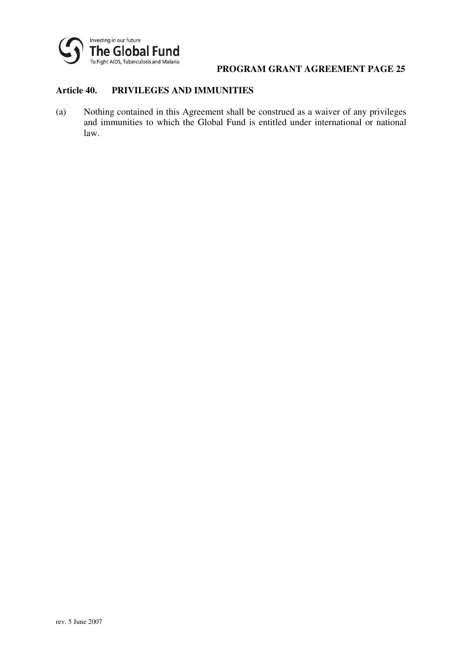

### **Article 40. PRIVILEGES AND IMMUNITIES**

(a) Nothing contained in this Agreement shall be construed as a waiver of any privileges and immunities to which the Global Fund is entitled under international or national law.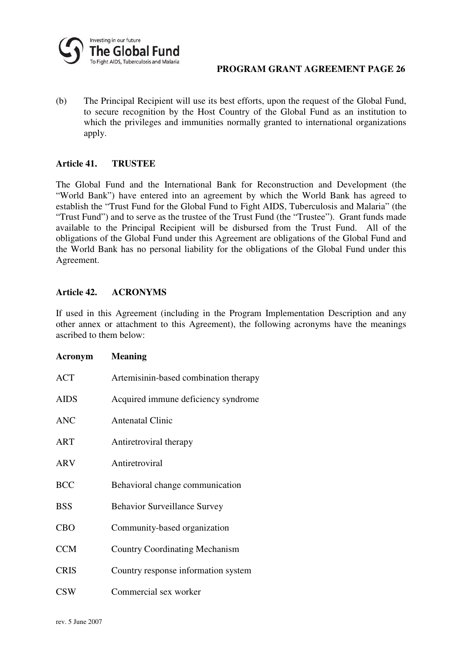

(b) The Principal Recipient will use its best efforts, upon the request of the Global Fund, to secure recognition by the Host Country of the Global Fund as an institution to which the privileges and immunities normally granted to international organizations apply.

#### **Article 41. TRUSTEE**

The Global Fund and the International Bank for Reconstruction and Development (the "World Bank") have entered into an agreement by which the World Bank has agreed to establish the "Trust Fund for the Global Fund to Fight AIDS, Tuberculosis and Malaria" (the "Trust Fund") and to serve as the trustee of the Trust Fund (the "Trustee"). Grant funds made available to the Principal Recipient will be disbursed from the Trust Fund. All of the obligations of the Global Fund under this Agreement are obligations of the Global Fund and the World Bank has no personal liability for the obligations of the Global Fund under this Agreement.

# **Article 42. ACRONYMS**

If used in this Agreement (including in the Program Implementation Description and any other annex or attachment to this Agreement), the following acronyms have the meanings ascribed to them below:

| Acronym     | <b>Meaning</b>                        |
|-------------|---------------------------------------|
| <b>ACT</b>  | Artemisinin-based combination therapy |
| <b>AIDS</b> | Acquired immune deficiency syndrome   |
| <b>ANC</b>  | <b>Antenatal Clinic</b>               |
| ART         | Antiretroviral therapy                |
| <b>ARV</b>  | Antiretroviral                        |
| <b>BCC</b>  | Behavioral change communication       |
| <b>BSS</b>  | <b>Behavior Surveillance Survey</b>   |
| <b>CBO</b>  | Community-based organization          |
| <b>CCM</b>  | <b>Country Coordinating Mechanism</b> |
| <b>CRIS</b> | Country response information system   |
| <b>CSW</b>  | Commercial sex worker                 |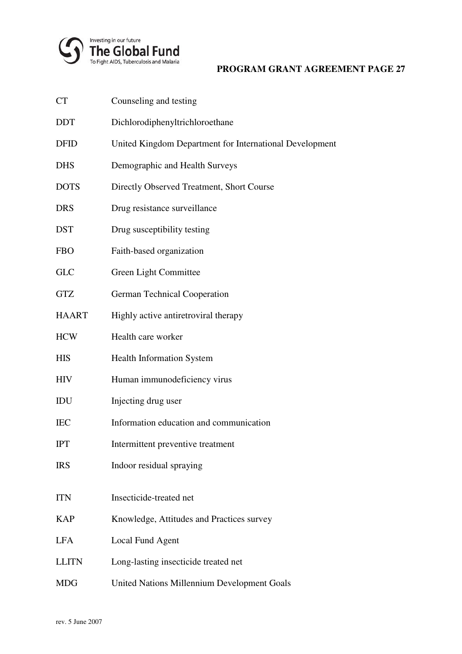

| <b>CT</b>    | Counseling and testing                                  |
|--------------|---------------------------------------------------------|
| <b>DDT</b>   | Dichlorodiphenyltrichloroethane                         |
| <b>DFID</b>  | United Kingdom Department for International Development |
| <b>DHS</b>   | Demographic and Health Surveys                          |
| <b>DOTS</b>  | Directly Observed Treatment, Short Course               |
| <b>DRS</b>   | Drug resistance surveillance                            |
| <b>DST</b>   | Drug susceptibility testing                             |
| <b>FBO</b>   | Faith-based organization                                |
| <b>GLC</b>   | Green Light Committee                                   |
| <b>GTZ</b>   | <b>German Technical Cooperation</b>                     |
| <b>HAART</b> | Highly active antiretroviral therapy                    |
| <b>HCW</b>   | Health care worker                                      |
| <b>HIS</b>   | Health Information System                               |
| <b>HIV</b>   | Human immunodeficiency virus                            |
| IDU          | Injecting drug user                                     |
| <b>IEC</b>   | Information education and communication                 |
| <b>IPT</b>   | Intermittent preventive treatment                       |
| <b>IRS</b>   | Indoor residual spraying                                |
| <b>ITN</b>   | Insecticide-treated net                                 |
| <b>KAP</b>   | Knowledge, Attitudes and Practices survey               |
| <b>LFA</b>   | Local Fund Agent                                        |
| <b>LLITN</b> | Long-lasting insecticide treated net                    |
| <b>MDG</b>   | United Nations Millennium Development Goals             |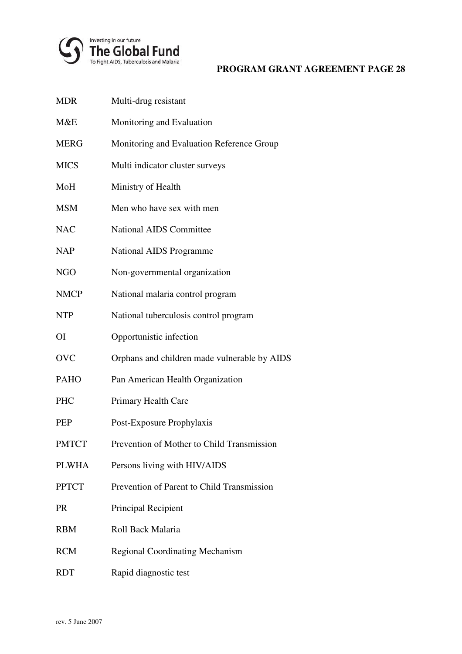

| <b>MDR</b>   | Multi-drug resistant                         |
|--------------|----------------------------------------------|
| M&E          | Monitoring and Evaluation                    |
| <b>MERG</b>  | Monitoring and Evaluation Reference Group    |
| <b>MICS</b>  | Multi indicator cluster surveys              |
| MoH          | Ministry of Health                           |
| <b>MSM</b>   | Men who have sex with men                    |
| <b>NAC</b>   | <b>National AIDS Committee</b>               |
| <b>NAP</b>   | <b>National AIDS Programme</b>               |
| <b>NGO</b>   | Non-governmental organization                |
| <b>NMCP</b>  | National malaria control program             |
| <b>NTP</b>   | National tuberculosis control program        |
| <b>OI</b>    | Opportunistic infection                      |
| <b>OVC</b>   | Orphans and children made vulnerable by AIDS |
| <b>PAHO</b>  | Pan American Health Organization             |
| PHC          | Primary Health Care                          |
| <b>PEP</b>   | Post-Exposure Prophylaxis                    |
| <b>PMTCT</b> | Prevention of Mother to Child Transmission   |
| <b>PLWHA</b> | Persons living with HIV/AIDS                 |
| <b>PPTCT</b> | Prevention of Parent to Child Transmission   |
| <b>PR</b>    | Principal Recipient                          |
| <b>RBM</b>   | Roll Back Malaria                            |
| <b>RCM</b>   | <b>Regional Coordinating Mechanism</b>       |
| <b>RDT</b>   | Rapid diagnostic test                        |